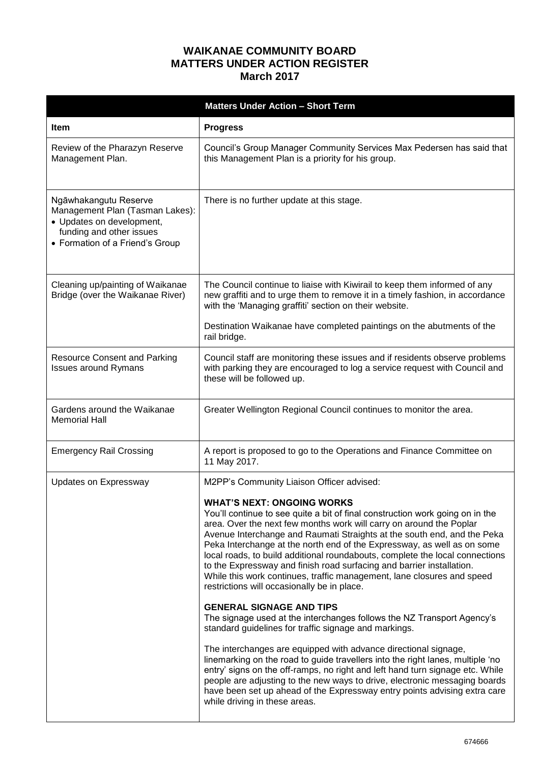## **WAIKANAE COMMUNITY BOARD MATTERS UNDER ACTION REGISTER March 2017**

| <b>Matters Under Action - Short Term</b>                                                                                                             |                                                                                                                                                                                                                                                                                                                                                                                                                                                                                                                                                                                                                                                                                                                                                                                                                                                                                                                                                                                                                                                                                                                                                                                                                                                                                        |
|------------------------------------------------------------------------------------------------------------------------------------------------------|----------------------------------------------------------------------------------------------------------------------------------------------------------------------------------------------------------------------------------------------------------------------------------------------------------------------------------------------------------------------------------------------------------------------------------------------------------------------------------------------------------------------------------------------------------------------------------------------------------------------------------------------------------------------------------------------------------------------------------------------------------------------------------------------------------------------------------------------------------------------------------------------------------------------------------------------------------------------------------------------------------------------------------------------------------------------------------------------------------------------------------------------------------------------------------------------------------------------------------------------------------------------------------------|
| <b>Item</b>                                                                                                                                          | <b>Progress</b>                                                                                                                                                                                                                                                                                                                                                                                                                                                                                                                                                                                                                                                                                                                                                                                                                                                                                                                                                                                                                                                                                                                                                                                                                                                                        |
| Review of the Pharazyn Reserve<br>Management Plan.                                                                                                   | Council's Group Manager Community Services Max Pedersen has said that<br>this Management Plan is a priority for his group.                                                                                                                                                                                                                                                                                                                                                                                                                                                                                                                                                                                                                                                                                                                                                                                                                                                                                                                                                                                                                                                                                                                                                             |
| Ngāwhakangutu Reserve<br>Management Plan (Tasman Lakes):<br>• Updates on development,<br>funding and other issues<br>• Formation of a Friend's Group | There is no further update at this stage.                                                                                                                                                                                                                                                                                                                                                                                                                                                                                                                                                                                                                                                                                                                                                                                                                                                                                                                                                                                                                                                                                                                                                                                                                                              |
| Cleaning up/painting of Waikanae<br>Bridge (over the Waikanae River)                                                                                 | The Council continue to liaise with Kiwirail to keep them informed of any<br>new graffiti and to urge them to remove it in a timely fashion, in accordance<br>with the 'Managing graffiti' section on their website.<br>Destination Waikanae have completed paintings on the abutments of the                                                                                                                                                                                                                                                                                                                                                                                                                                                                                                                                                                                                                                                                                                                                                                                                                                                                                                                                                                                          |
| <b>Resource Consent and Parking</b><br><b>Issues around Rymans</b>                                                                                   | rail bridge.<br>Council staff are monitoring these issues and if residents observe problems<br>with parking they are encouraged to log a service request with Council and<br>these will be followed up.                                                                                                                                                                                                                                                                                                                                                                                                                                                                                                                                                                                                                                                                                                                                                                                                                                                                                                                                                                                                                                                                                |
| Gardens around the Waikanae<br><b>Memorial Hall</b>                                                                                                  | Greater Wellington Regional Council continues to monitor the area.                                                                                                                                                                                                                                                                                                                                                                                                                                                                                                                                                                                                                                                                                                                                                                                                                                                                                                                                                                                                                                                                                                                                                                                                                     |
| <b>Emergency Rail Crossing</b>                                                                                                                       | A report is proposed to go to the Operations and Finance Committee on<br>11 May 2017.                                                                                                                                                                                                                                                                                                                                                                                                                                                                                                                                                                                                                                                                                                                                                                                                                                                                                                                                                                                                                                                                                                                                                                                                  |
| Updates on Expressway                                                                                                                                | M2PP's Community Liaison Officer advised:<br><b>WHAT'S NEXT: ONGOING WORKS</b><br>You'll continue to see quite a bit of final construction work going on in the<br>area. Over the next few months work will carry on around the Poplar<br>Avenue Interchange and Raumati Straights at the south end, and the Peka<br>Peka Interchange at the north end of the Expressway, as well as on some<br>local roads, to build additional roundabouts, complete the local connections<br>to the Expressway and finish road surfacing and barrier installation.<br>While this work continues, traffic management, lane closures and speed<br>restrictions will occasionally be in place.<br><b>GENERAL SIGNAGE AND TIPS</b><br>The signage used at the interchanges follows the NZ Transport Agency's<br>standard guidelines for traffic signage and markings.<br>The interchanges are equipped with advance directional signage,<br>linemarking on the road to guide travellers into the right lanes, multiple 'no<br>entry' signs on the off-ramps, no right and left hand turn signage etc. While<br>people are adjusting to the new ways to drive, electronic messaging boards<br>have been set up ahead of the Expressway entry points advising extra care<br>while driving in these areas. |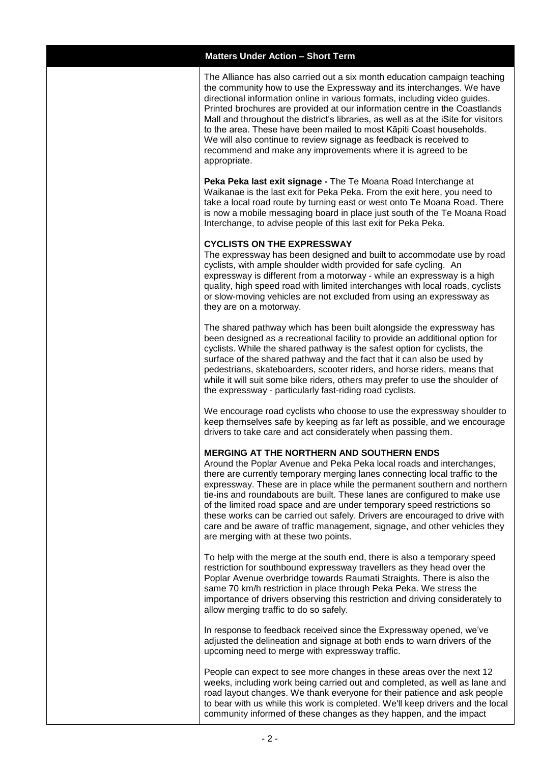## **Matters Under Action – Short Term**

The Alliance has also carried out a six month education campaign teaching the community how to use the Expressway and its interchanges. We have directional information online in various formats, including video guides. Printed brochures are provided at our information centre in the Coastlands Mall and throughout the district's libraries, as well as at the iSite for visitors to the area. These have been mailed to most Kāpiti Coast households. We will also continue to review signage as feedback is received to recommend and make any improvements where it is agreed to be appropriate.

**Peka Peka last exit signage -** The Te Moana Road Interchange at Waikanae is the last exit for Peka Peka. From the exit here, you need to take a local road route by turning east or west onto Te Moana Road. There is now a mobile messaging board in place just south of the Te Moana Road Interchange, to advise people of this last exit for Peka Peka.

## **CYCLISTS ON THE EXPRESSWAY**

The expressway has been designed and built to accommodate use by road cyclists, with ample shoulder width provided for safe cycling. An expressway is different from a motorway - while an expressway is a high quality, high speed road with limited interchanges with local roads, cyclists or slow-moving vehicles are not excluded from using an expressway as they are on a motorway.

The shared pathway which has been built alongside the expressway has been designed as a recreational facility to provide an additional option for cyclists. While the shared pathway is the safest option for cyclists, the surface of the shared pathway and the fact that it can also be used by pedestrians, skateboarders, scooter riders, and horse riders, means that while it will suit some bike riders, others may prefer to use the shoulder of the expressway - particularly fast-riding road cyclists.

We encourage road cyclists who choose to use the expressway shoulder to keep themselves safe by keeping as far left as possible, and we encourage drivers to take care and act considerately when passing them.

## **MERGING AT THE NORTHERN AND SOUTHERN ENDS**

Around the Poplar Avenue and Peka Peka local roads and interchanges, there are currently temporary merging lanes connecting local traffic to the expressway. These are in place while the permanent southern and northern tie-ins and roundabouts are built. These lanes are configured to make use of the limited road space and are under temporary speed restrictions so these works can be carried out safely. Drivers are encouraged to drive with care and be aware of traffic management, signage, and other vehicles they are merging with at these two points.

To help with the merge at the south end, there is also a temporary speed restriction for southbound expressway travellers as they head over the Poplar Avenue overbridge towards Raumati Straights. There is also the same 70 km/h restriction in place through Peka Peka. We stress the importance of drivers observing this restriction and driving considerately to allow merging traffic to do so safely.

In response to feedback received since the Expressway opened, we've adjusted the delineation and signage at both ends to warn drivers of the upcoming need to merge with expressway traffic.

People can expect to see more changes in these areas over the next 12 weeks, including work being carried out and completed, as well as lane and road layout changes. We thank everyone for their patience and ask people to bear with us while this work is completed. We'll keep drivers and the local community informed of these changes as they happen, and the impact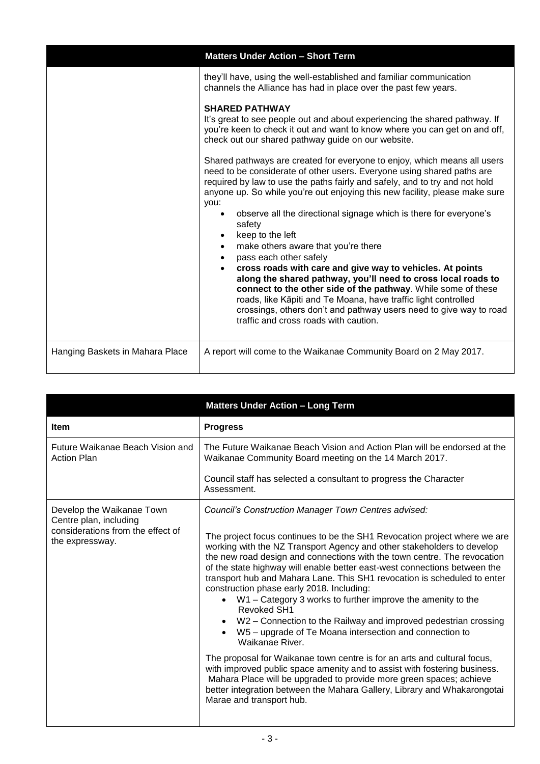|                                 | <b>Matters Under Action - Short Term</b>                                                                                                                                                                                                                                                                                                                                     |
|---------------------------------|------------------------------------------------------------------------------------------------------------------------------------------------------------------------------------------------------------------------------------------------------------------------------------------------------------------------------------------------------------------------------|
|                                 | they'll have, using the well-established and familiar communication<br>channels the Alliance has had in place over the past few years.                                                                                                                                                                                                                                       |
|                                 | <b>SHARED PATHWAY</b><br>It's great to see people out and about experiencing the shared pathway. If<br>you're keen to check it out and want to know where you can get on and off,<br>check out our shared pathway guide on our website.                                                                                                                                      |
|                                 | Shared pathways are created for everyone to enjoy, which means all users<br>need to be considerate of other users. Everyone using shared paths are<br>required by law to use the paths fairly and safely, and to try and not hold<br>anyone up. So while you're out enjoying this new facility, please make sure<br>you:                                                     |
|                                 | observe all the directional signage which is there for everyone's<br>safety<br>keep to the left                                                                                                                                                                                                                                                                              |
|                                 | make others aware that you're there<br>pass each other safely                                                                                                                                                                                                                                                                                                                |
|                                 | cross roads with care and give way to vehicles. At points<br>along the shared pathway, you'll need to cross local roads to<br>connect to the other side of the pathway. While some of these<br>roads, like Kāpiti and Te Moana, have traffic light controlled<br>crossings, others don't and pathway users need to give way to road<br>traffic and cross roads with caution. |
| Hanging Baskets in Mahara Place | A report will come to the Waikanae Community Board on 2 May 2017.                                                                                                                                                                                                                                                                                                            |

|                                                                                                             | <b>Matters Under Action - Long Term</b>                                                                                                                                                                                                                                                                                                                                                                                                                                                                                                                                                                                                                                                                                                   |
|-------------------------------------------------------------------------------------------------------------|-------------------------------------------------------------------------------------------------------------------------------------------------------------------------------------------------------------------------------------------------------------------------------------------------------------------------------------------------------------------------------------------------------------------------------------------------------------------------------------------------------------------------------------------------------------------------------------------------------------------------------------------------------------------------------------------------------------------------------------------|
| <b>Item</b>                                                                                                 | <b>Progress</b>                                                                                                                                                                                                                                                                                                                                                                                                                                                                                                                                                                                                                                                                                                                           |
| Future Waikanae Beach Vision and<br><b>Action Plan</b>                                                      | The Future Waikanae Beach Vision and Action Plan will be endorsed at the<br>Waikanae Community Board meeting on the 14 March 2017.                                                                                                                                                                                                                                                                                                                                                                                                                                                                                                                                                                                                        |
|                                                                                                             | Council staff has selected a consultant to progress the Character<br>Assessment.                                                                                                                                                                                                                                                                                                                                                                                                                                                                                                                                                                                                                                                          |
| Develop the Waikanae Town<br>Centre plan, including<br>considerations from the effect of<br>the expressway. | Council's Construction Manager Town Centres advised:<br>The project focus continues to be the SH1 Revocation project where we are<br>working with the NZ Transport Agency and other stakeholders to develop<br>the new road design and connections with the town centre. The revocation<br>of the state highway will enable better east-west connections between the<br>transport hub and Mahara Lane. This SH1 revocation is scheduled to enter<br>construction phase early 2018. Including:<br>W1 – Category 3 works to further improve the amenity to the<br>Revoked SH1<br>W2 – Connection to the Railway and improved pedestrian crossing<br>W5 - upgrade of Te Moana intersection and connection to<br>$\bullet$<br>Waikanae River. |
|                                                                                                             | The proposal for Waikanae town centre is for an arts and cultural focus,<br>with improved public space amenity and to assist with fostering business.<br>Mahara Place will be upgraded to provide more green spaces; achieve<br>better integration between the Mahara Gallery, Library and Whakarongotai<br>Marae and transport hub.                                                                                                                                                                                                                                                                                                                                                                                                      |